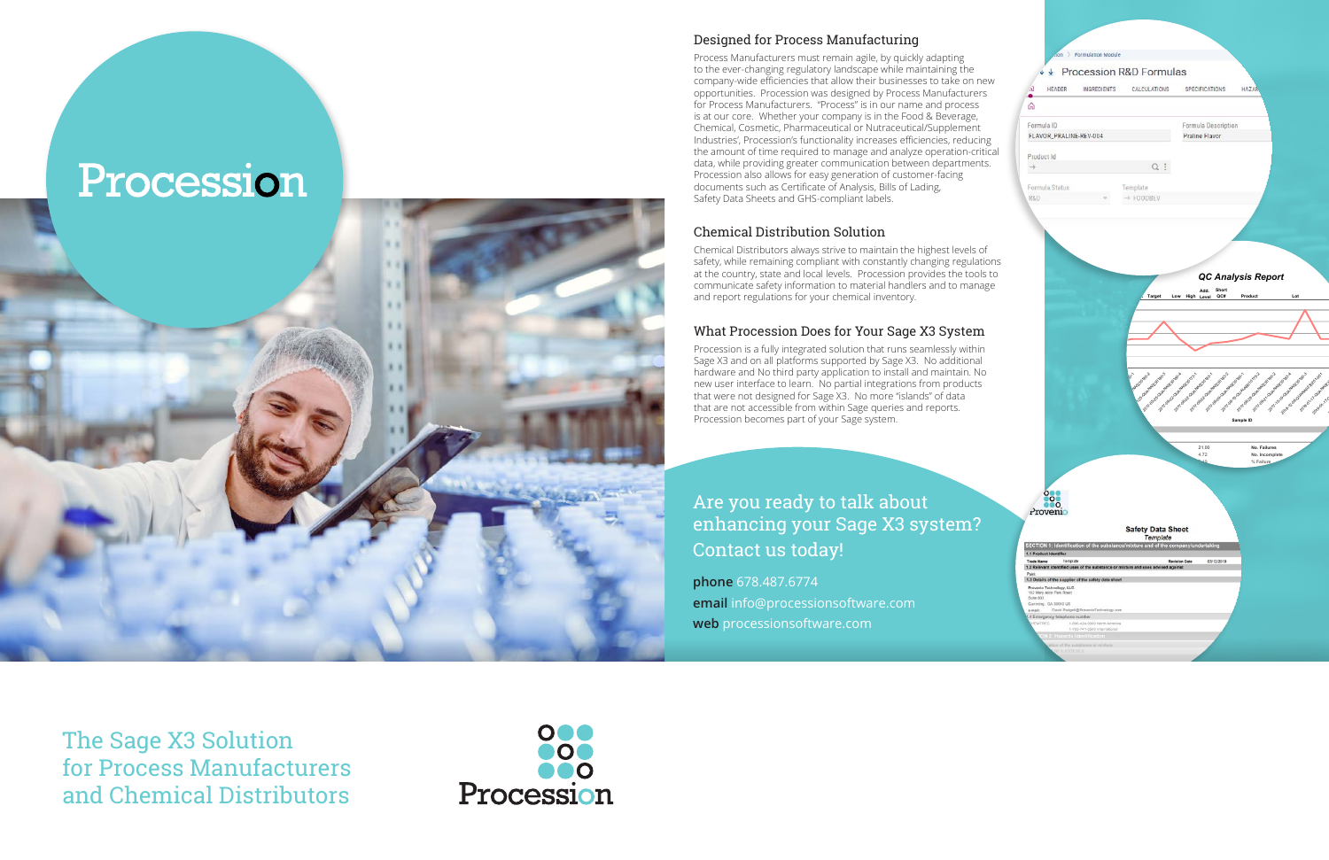The Sage X3 Solution for Process Manufacturers and Chemical Distributors



# Procession



Process Manufacturers must remain agile, by quickly adapting to the ever-changing regulatory landscape while maintaining the company-wide efficiencies that allow their businesses to take on new opportunities. Procession was designed by Process Manufacturers for Process Manufacturers. "Process" is in our name and process is at our core. Whether your company is in the Food & Beverage, Chemical, Cosmetic, Pharmaceutical or Nutraceutical/Supplement Industries', Procession's functionality increases efficiencies, reducing the amount of time required to manage and analyze operation-critical data, while providing greater communication between departments. Procession also allows for easy generation of customer-facing documents such as Certificate of Analysis, Bills of Lading, Safety Data Sheets and GHS-compliant labels.

### Chemical Distribution Solution

Chemical Distributors always strive to maintain the highest levels of safety, while remaining compliant with constantly changing regulations at the country, state and local levels. Procession provides the tools to communicate safety information to material handlers and to manage and report regulations for your chemical inventory.

### What Procession Does for Your Sage X3 System

Procession is a fully integrated solution that runs seamlessly within Sage X3 and on all platforms supported by Sage X3. No additional hardware and No third party application to install and maintain. No new user interface to learn. No partial integrations from products that were not designed for Sage X3. No more "islands" of data that are not accessible from within Sage queries and reports. Procession becomes part of your Sage system.



## Are you ready to talk about enhancing your Sage X3 system? Contact us today!

**phone** 678.487.6774 **email** info@processionsoftware.com **web** processionsoftware.com